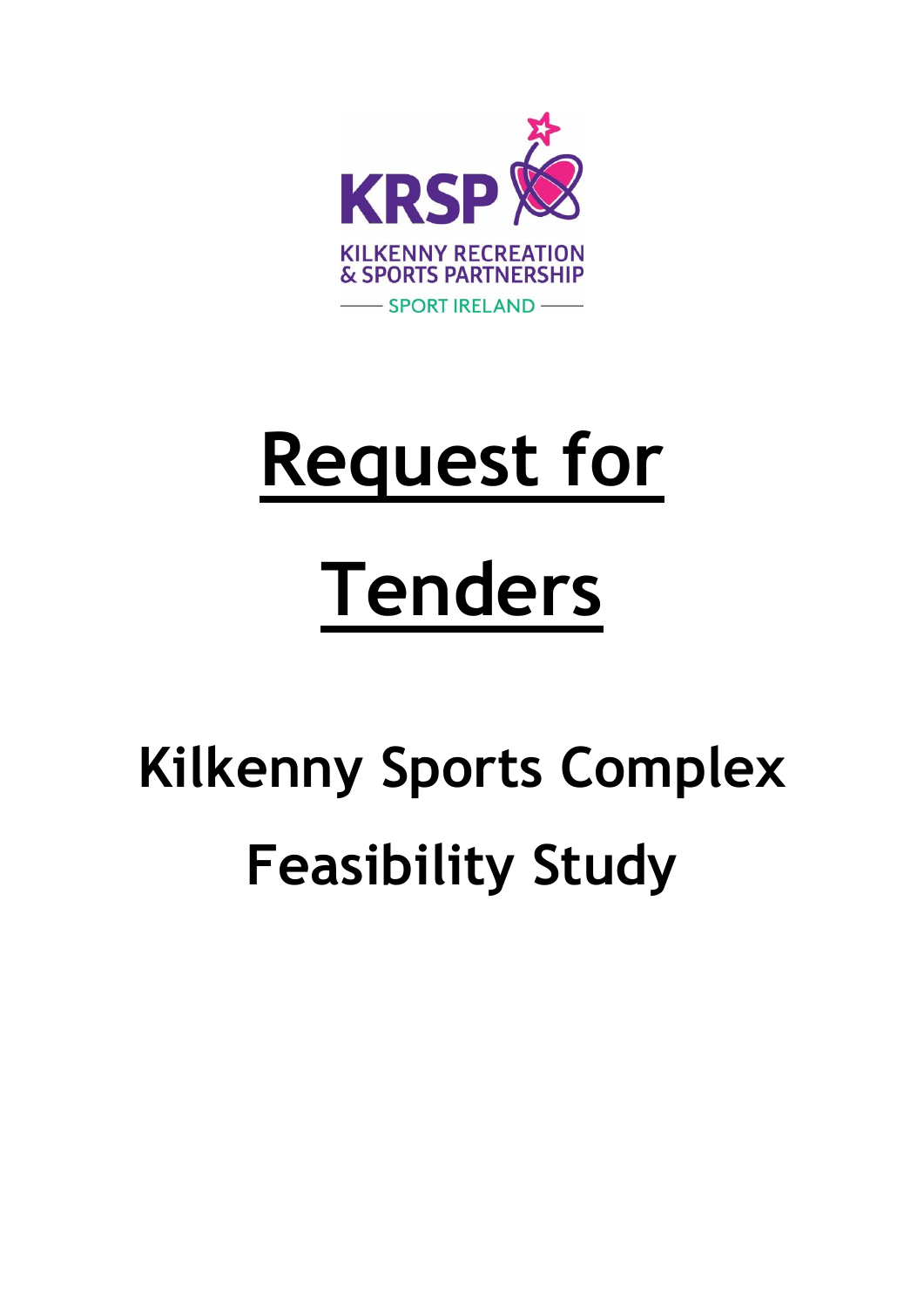

# **Request for Tenders**

# **Kilkenny Sports Complex Feasibility Study**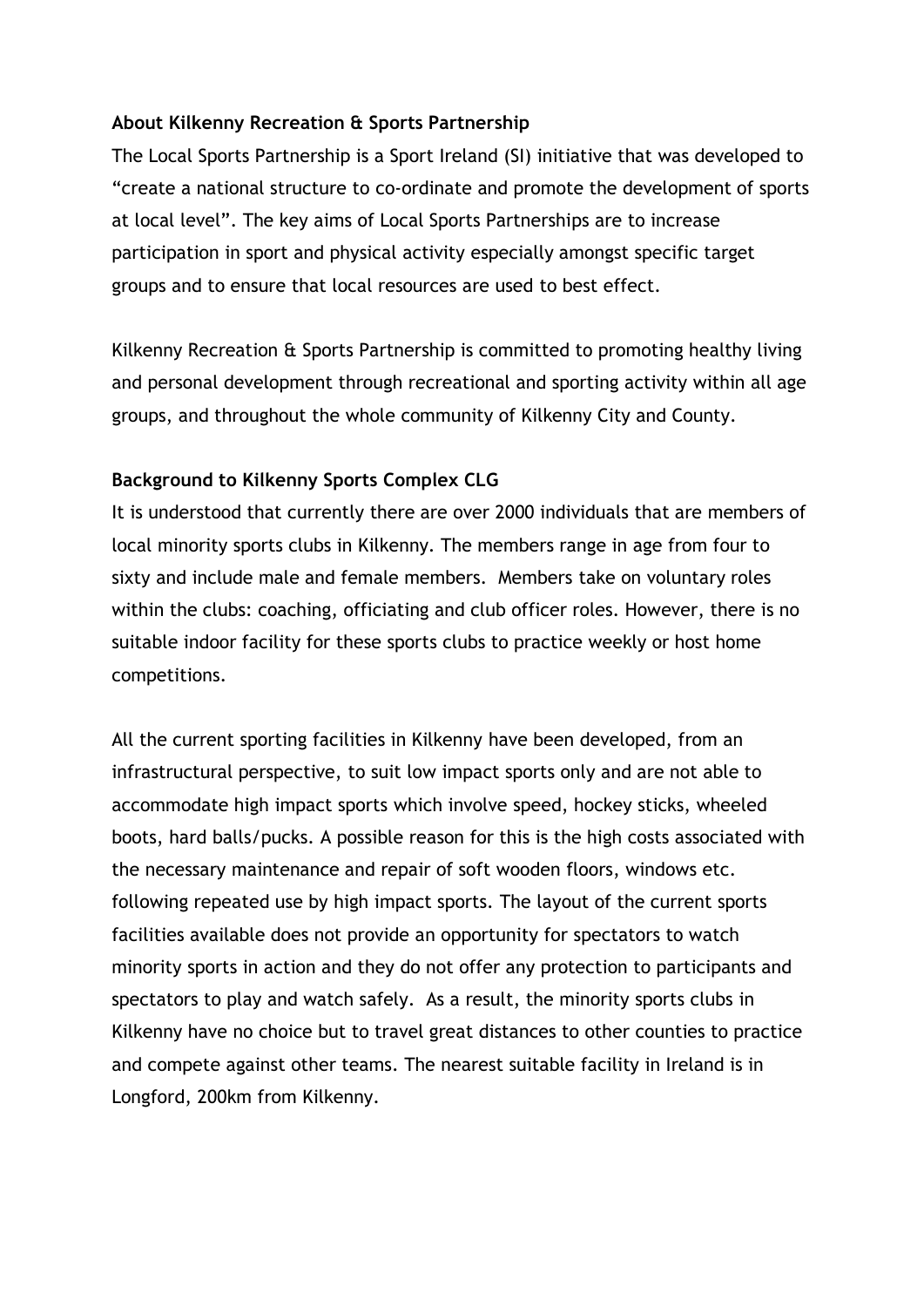#### **About Kilkenny Recreation & Sports Partnership**

The Local Sports Partnership is a Sport Ireland (SI) initiative that was developed to "create a national structure to co-ordinate and promote the development of sports at local level". The key aims of Local Sports Partnerships are to increase participation in sport and physical activity especially amongst specific target groups and to ensure that local resources are used to best effect.

Kilkenny Recreation & Sports Partnership is committed to promoting healthy living and personal development through recreational and sporting activity within all age groups, and throughout the whole community of Kilkenny City and County.

#### **Background to Kilkenny Sports Complex CLG**

It is understood that currently there are over 2000 individuals that are members of local minority sports clubs in Kilkenny. The members range in age from four to sixty and include male and female members. Members take on voluntary roles within the clubs: coaching, officiating and club officer roles. However, there is no suitable indoor facility for these sports clubs to practice weekly or host home competitions.

All the current sporting facilities in Kilkenny have been developed, from an infrastructural perspective, to suit low impact sports only and are not able to accommodate high impact sports which involve speed, hockey sticks, wheeled boots, hard balls/pucks. A possible reason for this is the high costs associated with the necessary maintenance and repair of soft wooden floors, windows etc. following repeated use by high impact sports. The layout of the current sports facilities available does not provide an opportunity for spectators to watch minority sports in action and they do not offer any protection to participants and spectators to play and watch safely. As a result, the minority sports clubs in Kilkenny have no choice but to travel great distances to other counties to practice and compete against other teams. The nearest suitable facility in Ireland is in Longford, 200km from Kilkenny.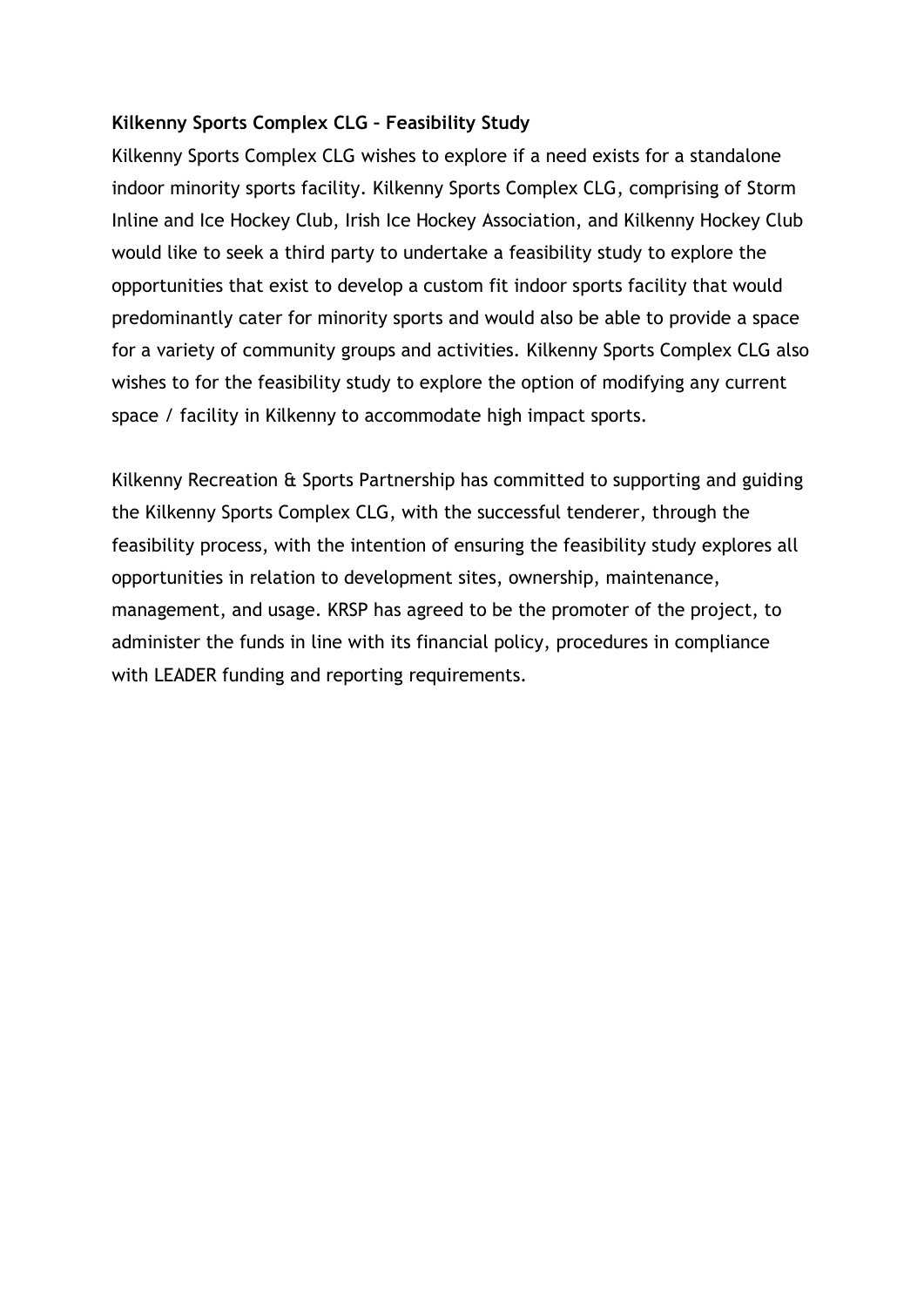#### **Kilkenny Sports Complex CLG – Feasibility Study**

Kilkenny Sports Complex CLG wishes to explore if a need exists for a standalone indoor minority sports facility. Kilkenny Sports Complex CLG, comprising of Storm Inline and Ice Hockey Club, Irish Ice Hockey Association, and Kilkenny Hockey Club would like to seek a third party to undertake a feasibility study to explore the opportunities that exist to develop a custom fit indoor sports facility that would predominantly cater for minority sports and would also be able to provide a space for a variety of community groups and activities. Kilkenny Sports Complex CLG also wishes to for the feasibility study to explore the option of modifying any current space / facility in Kilkenny to accommodate high impact sports.

Kilkenny Recreation & Sports Partnership has committed to supporting and guiding the Kilkenny Sports Complex CLG, with the successful tenderer, through the feasibility process, with the intention of ensuring the feasibility study explores all opportunities in relation to development sites, ownership, maintenance, management, and usage. KRSP has agreed to be the promoter of the project, to administer the funds in line with its financial policy, procedures in compliance with LEADER funding and reporting requirements.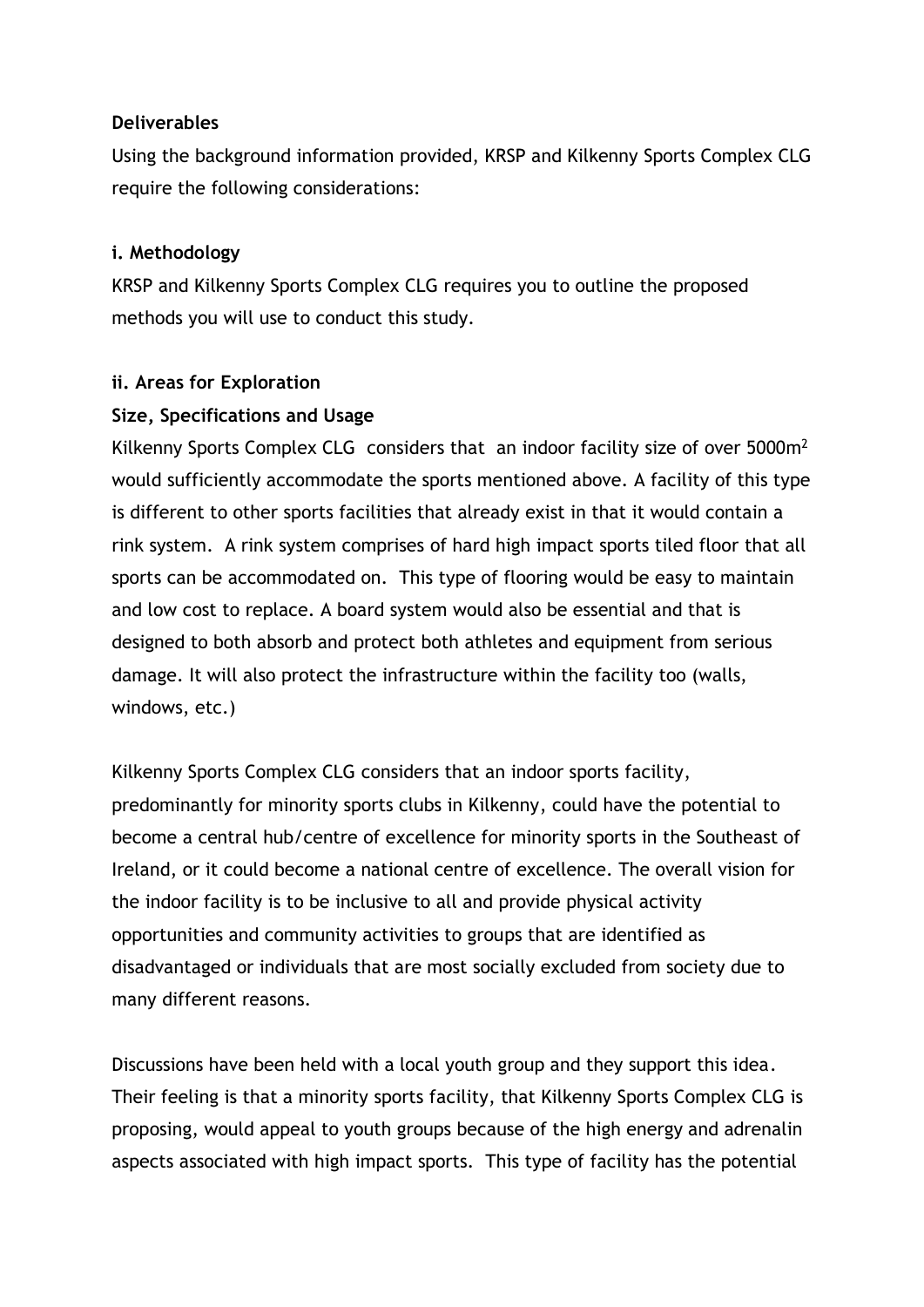#### **Deliverables**

Using the background information provided, KRSP and Kilkenny Sports Complex CLG require the following considerations:

#### **i. Methodology**

KRSP and Kilkenny Sports Complex CLG requires you to outline the proposed methods you will use to conduct this study.

#### **ii. Areas for Exploration**

#### **Size, Specifications and Usage**

Kilkenny Sports Complex CLG considers that an indoor facility size of over 5000m<sup>2</sup> would sufficiently accommodate the sports mentioned above. A facility of this type is different to other sports facilities that already exist in that it would contain a rink system. A rink system comprises of hard high impact sports tiled floor that all sports can be accommodated on. This type of flooring would be easy to maintain and low cost to replace. A board system would also be essential and that is designed to both absorb and protect both athletes and equipment from serious damage. It will also protect the infrastructure within the facility too (walls, windows, etc.)

Kilkenny Sports Complex CLG considers that an indoor sports facility, predominantly for minority sports clubs in Kilkenny, could have the potential to become a central hub/centre of excellence for minority sports in the Southeast of Ireland, or it could become a national centre of excellence. The overall vision for the indoor facility is to be inclusive to all and provide physical activity opportunities and community activities to groups that are identified as disadvantaged or individuals that are most socially excluded from society due to many different reasons.

Discussions have been held with a local youth group and they support this idea. Their feeling is that a minority sports facility, that Kilkenny Sports Complex CLG is proposing, would appeal to youth groups because of the high energy and adrenalin aspects associated with high impact sports. This type of facility has the potential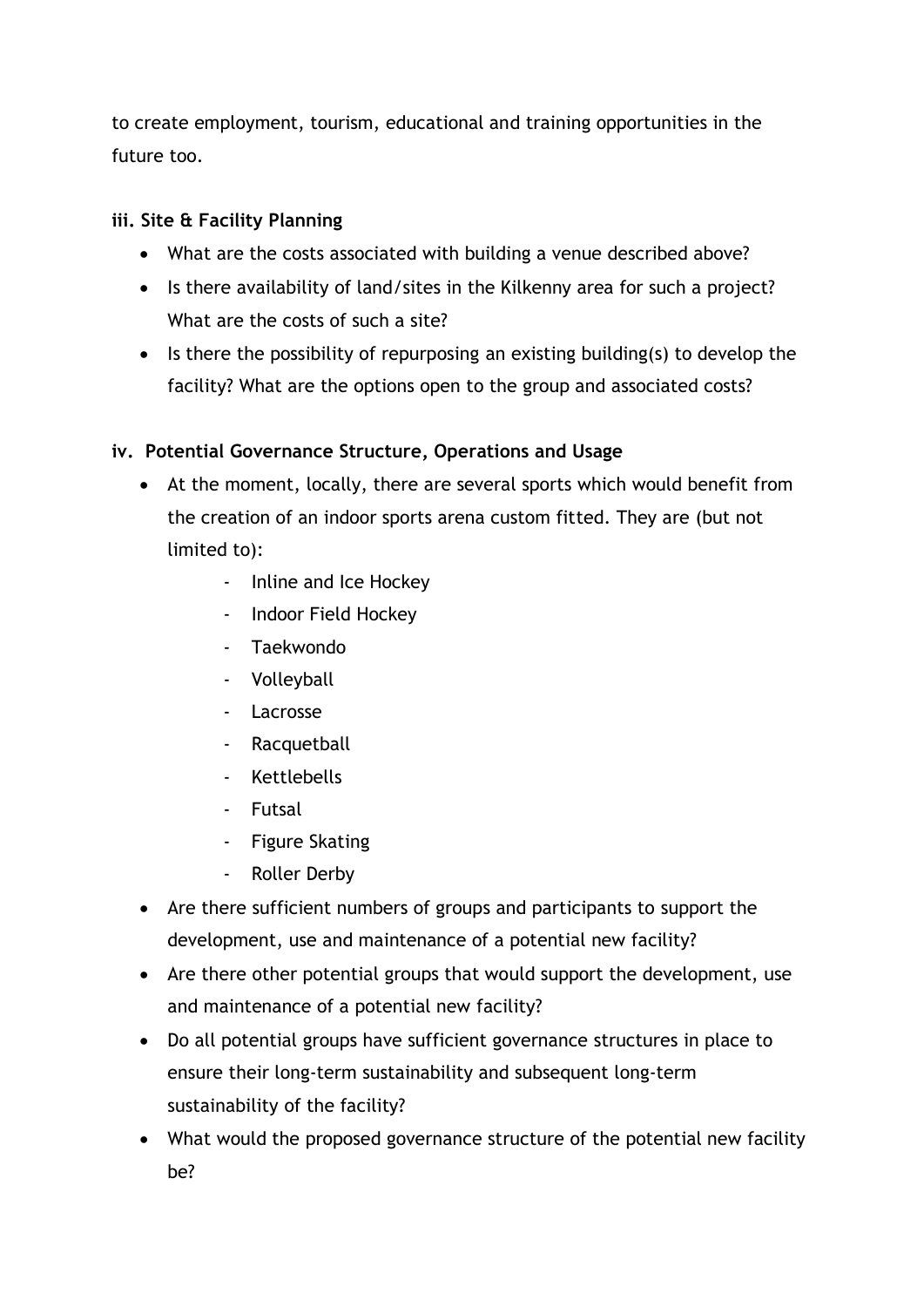to create employment, tourism, educational and training opportunities in the future too.

# **iii. Site & Facility Planning**

- What are the costs associated with building a venue described above?
- Is there availability of land/sites in the Kilkenny area for such a project? What are the costs of such a site?
- Is there the possibility of repurposing an existing building(s) to develop the facility? What are the options open to the group and associated costs?

### **iv. Potential Governance Structure, Operations and Usage**

- At the moment, locally, there are several sports which would benefit from the creation of an indoor sports arena custom fitted. They are (but not limited to):
	- Inline and Ice Hockey
	- Indoor Field Hockey
	- Taekwondo
	- Volleyball
	- Lacrosse
	- Racquetball
	- Kettlebells
	- Futsal
	- Figure Skating
	- Roller Derby
- Are there sufficient numbers of groups and participants to support the development, use and maintenance of a potential new facility?
- Are there other potential groups that would support the development, use and maintenance of a potential new facility?
- Do all potential groups have sufficient governance structures in place to ensure their long-term sustainability and subsequent long-term sustainability of the facility?
- What would the proposed governance structure of the potential new facility be?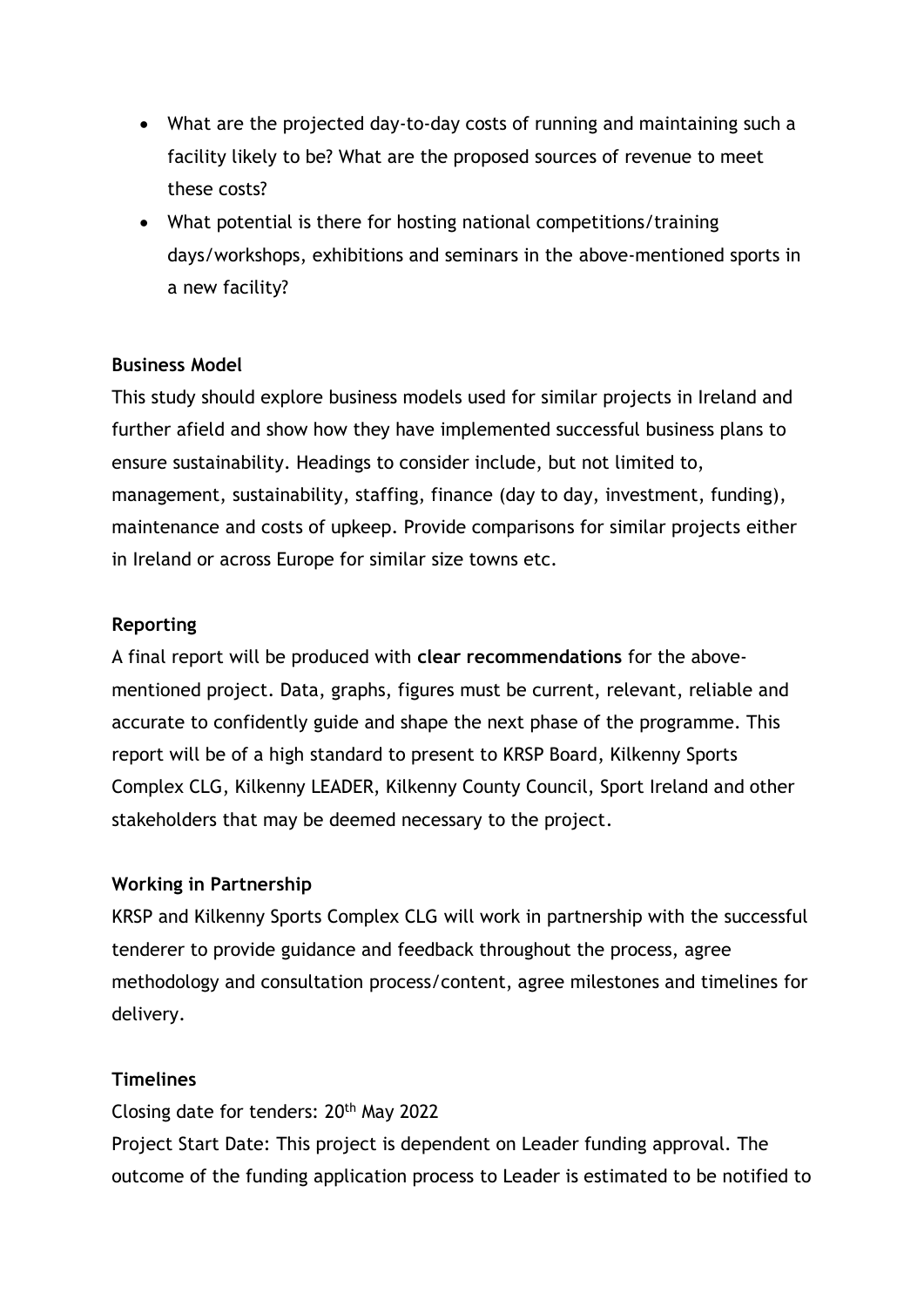- What are the projected day-to-day costs of running and maintaining such a facility likely to be? What are the proposed sources of revenue to meet these costs?
- What potential is there for hosting national competitions/training days/workshops, exhibitions and seminars in the above-mentioned sports in a new facility?

#### **Business Model**

This study should explore business models used for similar projects in Ireland and further afield and show how they have implemented successful business plans to ensure sustainability. Headings to consider include, but not limited to, management, sustainability, staffing, finance (day to day, investment, funding), maintenance and costs of upkeep. Provide comparisons for similar projects either in Ireland or across Europe for similar size towns etc.

#### **Reporting**

A final report will be produced with **clear recommendations** for the abovementioned project. Data, graphs, figures must be current, relevant, reliable and accurate to confidently guide and shape the next phase of the programme. This report will be of a high standard to present to KRSP Board, Kilkenny Sports Complex CLG, Kilkenny LEADER, Kilkenny County Council, Sport Ireland and other stakeholders that may be deemed necessary to the project.

#### **Working in Partnership**

KRSP and Kilkenny Sports Complex CLG will work in partnership with the successful tenderer to provide guidance and feedback throughout the process, agree methodology and consultation process/content, agree milestones and timelines for delivery.

#### **Timelines**

Closing date for tenders: 20th May 2022 Project Start Date: This project is dependent on Leader funding approval. The outcome of the funding application process to Leader is estimated to be notified to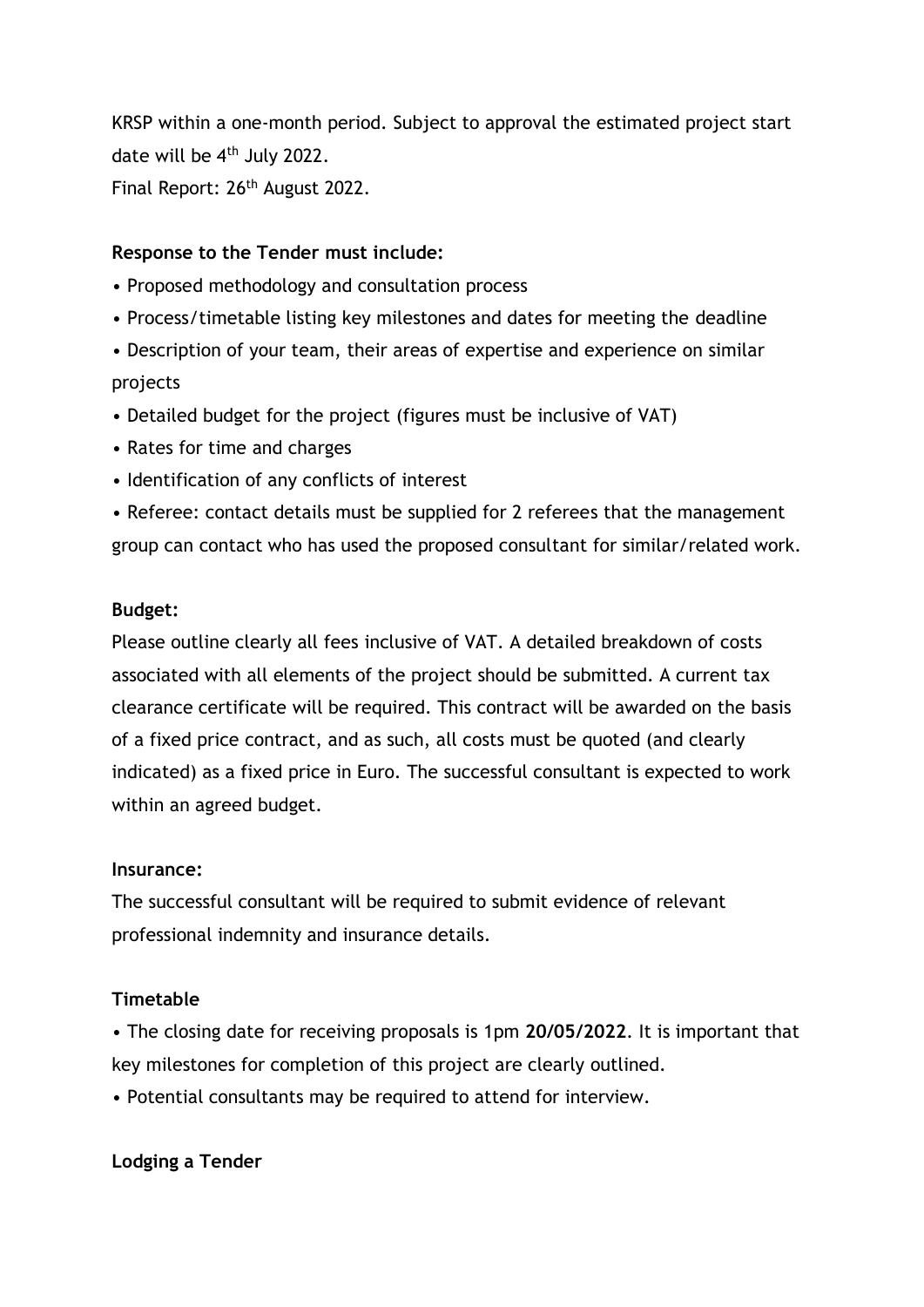KRSP within a one-month period. Subject to approval the estimated project start date will be 4th July 2022. Final Report: 26<sup>th</sup> August 2022.

#### **Response to the Tender must include:**

- Proposed methodology and consultation process
- Process/timetable listing key milestones and dates for meeting the deadline
- Description of your team, their areas of expertise and experience on similar projects
- Detailed budget for the project (figures must be inclusive of VAT)
- Rates for time and charges
- Identification of any conflicts of interest

• Referee: contact details must be supplied for 2 referees that the management group can contact who has used the proposed consultant for similar/related work.

#### **Budget:**

Please outline clearly all fees inclusive of VAT. A detailed breakdown of costs associated with all elements of the project should be submitted. A current tax clearance certificate will be required. This contract will be awarded on the basis of a fixed price contract, and as such, all costs must be quoted (and clearly indicated) as a fixed price in Euro. The successful consultant is expected to work within an agreed budget.

#### **Insurance:**

The successful consultant will be required to submit evidence of relevant professional indemnity and insurance details.

#### **Timetable**

• The closing date for receiving proposals is 1pm **20/05/2022**. It is important that key milestones for completion of this project are clearly outlined.

• Potential consultants may be required to attend for interview.

#### **Lodging a Tender**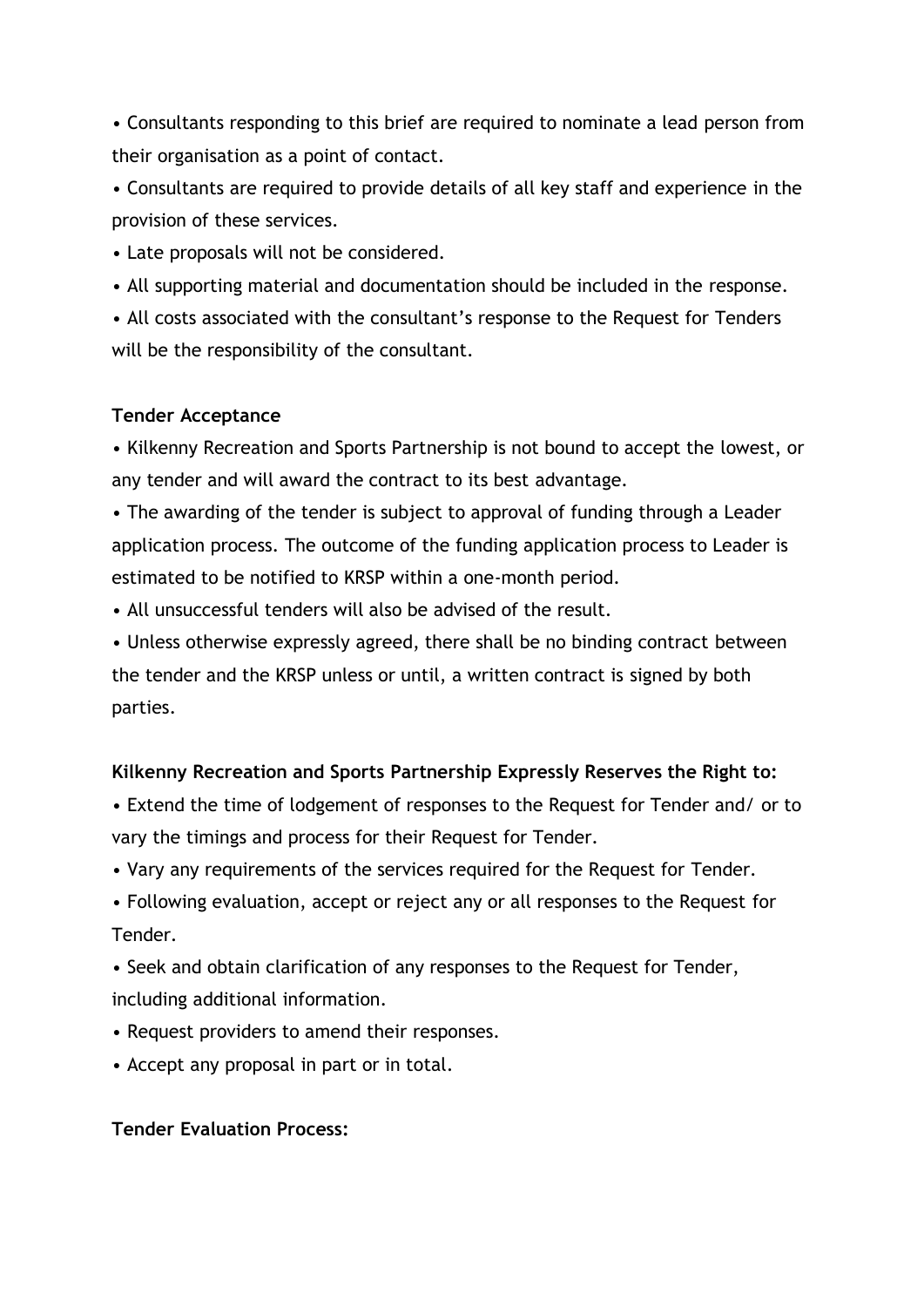• Consultants responding to this brief are required to nominate a lead person from their organisation as a point of contact.

• Consultants are required to provide details of all key staff and experience in the provision of these services.

• Late proposals will not be considered.

• All supporting material and documentation should be included in the response.

• All costs associated with the consultant's response to the Request for Tenders will be the responsibility of the consultant.

# **Tender Acceptance**

• Kilkenny Recreation and Sports Partnership is not bound to accept the lowest, or any tender and will award the contract to its best advantage.

• The awarding of the tender is subject to approval of funding through a Leader application process. The outcome of the funding application process to Leader is estimated to be notified to KRSP within a one-month period.

• All unsuccessful tenders will also be advised of the result.

• Unless otherwise expressly agreed, there shall be no binding contract between the tender and the KRSP unless or until, a written contract is signed by both parties.

#### **Kilkenny Recreation and Sports Partnership Expressly Reserves the Right to:**

• Extend the time of lodgement of responses to the Request for Tender and/ or to vary the timings and process for their Request for Tender.

- Vary any requirements of the services required for the Request for Tender.
- Following evaluation, accept or reject any or all responses to the Request for Tender.

• Seek and obtain clarification of any responses to the Request for Tender, including additional information.

- Request providers to amend their responses.
- Accept any proposal in part or in total.

#### **Tender Evaluation Process:**